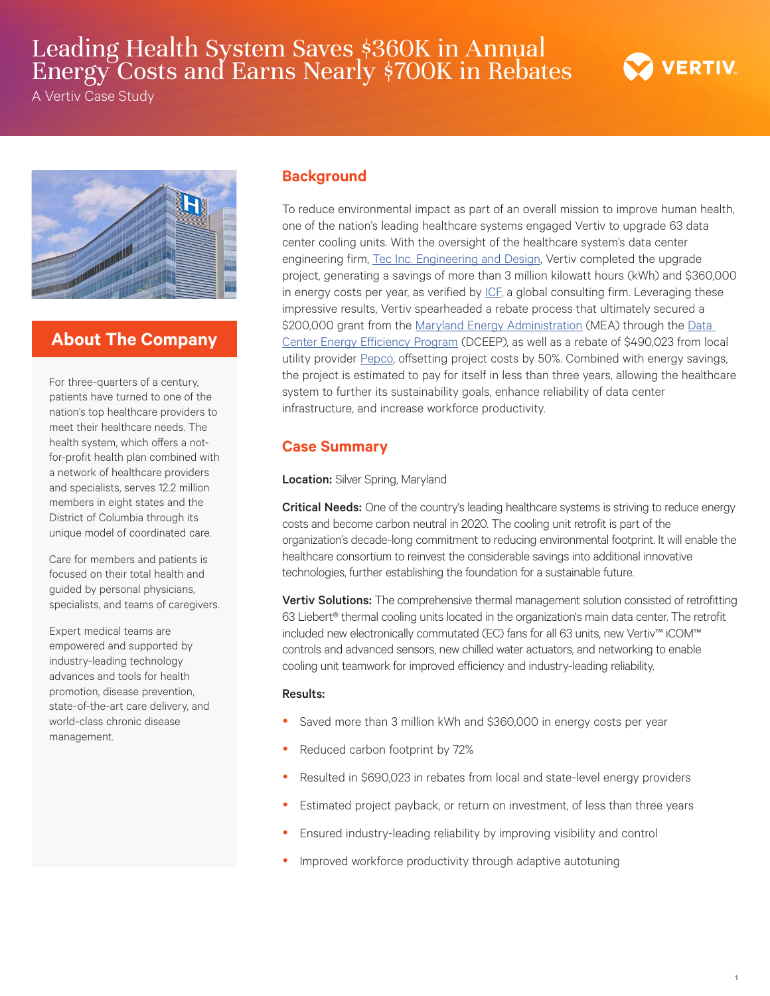# Leading Health System Saves \$360K in Annual Energy Costs and Earns Nearly \$700K in Rebates

A Vertiv Case Study



# **About The Company**

For three-quarters of a century, patients have turned to one of the nation's top healthcare providers to meet their healthcare needs. The health system, which offers a notfor-profit health plan combined with a network of healthcare providers and specialists, serves 12.2 million members in eight states and the District of Columbia through its unique model of coordinated care.

Care for members and patients is focused on their total health and guided by personal physicians, specialists, and teams of caregivers.

Expert medical teams are empowered and supported by industry-leading technology advances and tools for health promotion, disease prevention, state-of-the-art care delivery, and world-class chronic disease management.

### **Background**

To reduce environmental impact as part of an overall mission to improve human health, one of the nation's leading healthcare systems engaged Vertiv to upgrade 63 data center cooling units. With the oversight of the healthcare system's data center engineering firm, [Tec Inc. Engineering](http://www.tecinceng.com/) and Design, Vertiv completed the upgrade project, generating a savings of more than 3 million kilowatt hours (kWh) and \$360,000 in energy costs per year, as verified by [ICF,](http://www.icf.com/) a global consulting firm. Leveraging these impressive results, Vertiv spearheaded a rebate process that ultimately secured a \$200,000 grant from the [Maryland Energy Administration](https://energy.maryland.gov/) (MEA) through the Data [Center Energy Efficiency Program](https://energy.maryland.gov/business/Pages/incentives/DCEEG.aspx) (DCEEP), as well as a rebate of \$490,023 from local utility provider [Pepco,](https://www.pepco.com/Pages/default.aspx) offsetting project costs by 50%. Combined with energy savings, the project is estimated to pay for itself in less than three years, allowing the healthcare system to further its sustainability goals, enhance reliability of data center infrastructure, and increase workforce productivity.

## **Case Summary**

#### Location: Silver Spring, Maryland

Critical Needs: One of the country's leading healthcare systems is striving to reduce energy costs and become carbon neutral in 2020. The cooling unit retrofit is part of the organization's decade-long commitment to reducing environmental footprint. It will enable the healthcare consortium to reinvest the considerable savings into additional innovative technologies, further establishing the foundation for a sustainable future.

Vertiv Solutions: The comprehensive thermal management solution consisted of retrofitting 63 Liebert® thermal cooling units located in the organization's main data center. The retrofit included new electronically commutated (EC) fans for all 63 units, new Vertiv™ iCOM™ controls and advanced sensors, new chilled water actuators, and networking to enable cooling unit teamwork for improved efficiency and industry-leading reliability.

#### Results:

- Saved more than 3 million kWh and \$360,000 in energy costs per year
- Reduced carbon footprint by 72%
- Resulted in \$690,023 in rebates from local and state-level energy providers
- Estimated project payback, or return on investment, of less than three years
- Ensured industry-leading reliability by improving visibility and control
- Improved workforce productivity through adaptive autotuning

**VERTIV**